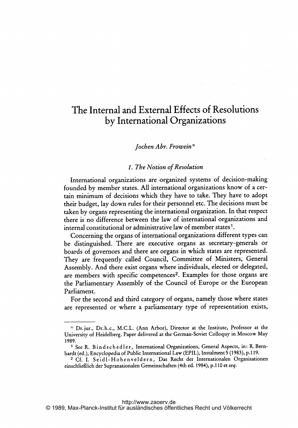# The Internal and External Effects of Resolutions by International Organizations

## Jochen Abr. Frowein\*

#### 1. The Notion of Resolution

International organizations are organized systems of decision-making founded by member states. All international organizations know of <sup>a</sup> certain minimum of decisions which they have to take. They have to adopt their budget, lay down rules for their personnel etc. The decisions must be taken by organs representing the international organization. In that respect there is no difference between the law of international organizations and internal constitutional or administrative law of member states'.

Concerning the organs of international organizations different types can be distinguished.. There are executive organs as secretary-generals or boards of governors and there are organs in which states are represented. They are frequently called Council, Committee of Ministers, General Assembly. And there exist organs where individuals, elected or delegated, are members with specific competences<sup>2</sup>. Examples for those organs are the Parliamentary Assembly of the Council of Europe or the European Parliament.

For the second and third category of organs, namely those where states are represented or where <sup>a</sup> parliamentary type of representation exists,

<sup>&</sup>quot; Drjur., Dr.h.c., M.C.L. (Ann Arbor), Director at the Institute, Professor at the University of Heidelberg. Paper delivered at the German-Soviet Colloquy in Moscow May 1989.

<sup>&</sup>lt;sup>1</sup> See R. Bindschedler, International Organizations, General Aspects, in: R. Bernhardt (ed.), Encyclopedia of Public International Law (EPIL), Instalment 5 (1983), p.119.

<sup>2</sup> Cf. 1. Seidl- Hohenveldern, Das Recht der Internationalen Organisationen einschließlich der Supranationalen Gemeinschaften (4th ed. 1984), p.110 et seq.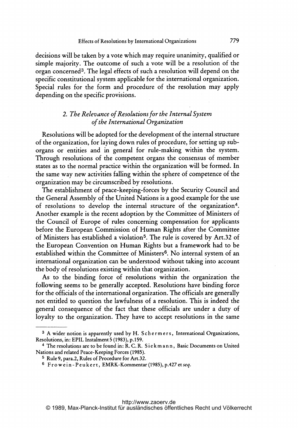decisions will be taken by <sup>a</sup> vote which may require unanimity, qualified or simple majority. The outcome of such <sup>a</sup> vote will be <sup>a</sup> resolution of the organ concerned3. The legal effects of such <sup>a</sup> resolution will depend on the specific constitutional system applicable for the international organization. Special rules for the form and procedure of the resolution may apply depending on the specific provisions.

# 2. The Relevance of Resolutions for the Internal System of the International Organization

Resolutions will be adopted for the development of the internal structure of the organization, for laying down rules of procedure, for setting up suborgans or entities and in general for rule-making within the system. Through resolutions of the competent organs the consensus of member states as to the normal practice within the organization will be formed. In the same way new activities falling within the sphere of competence of the organization may be circumscribed by resolutions.

The establishment of peace-keeping-forces by the Security Council and the General Assembly of the United Nations is <sup>a</sup> good example for the use of resolutions to develop the internal structure of the organization4. Another example is the recent adoption by the Committee of Ministers of the Council of Europe of rules concerning compensation for applicants before the European Commission of Human Rights after the Committee of Ministers has established <sup>a</sup> violation5. The rule is covered by Art.32 of the European Convention on Human Rights but <sup>a</sup> framework had to be established within the Committee of Ministers<sup>6</sup>. No internal system of an international organization can be understood without taking into account the body of resolutions existing within that organization.

As to the binding force of resolutions within the organization the following seems to be generally accepted. Resolutions have binding force for the officials of the international organization. The officials are generally not entitled to question the lawfulness of a resolution. This is indeed the general consequence of the fact that these officials are under <sup>a</sup> duty of loyalty to the organization. They have to accept resolutions in the same

<sup>&</sup>lt;sup>3</sup> A wider notion is apparently used by H. Schermers, International Organizations, Resolutions, in: EPIL Instalment <sup>5</sup> (1983), p. 159.

<sup>&</sup>lt;sup>4</sup> The resolutions are to be found in: R.C.R. Siekmann, Basic Documents on United Nations and related Peace- Keeping Forces (1985).

<sup>5</sup> Rule 9, para.2, Rules of Procedure for Art.32.

 $6$  Frowein-Peukert, EMRK-Kommentar (1985), p.427 et seq.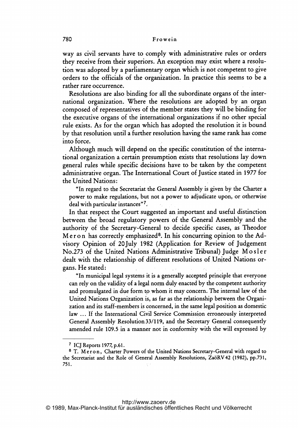way as civil servants have to comply with administrative rules or orders they receive from their superiors. An exception may exist where <sup>a</sup> resolution was adopted by <sup>a</sup> parliamentary organ which is not competent to give orders to the officials of the organization. In practice this, seems to be a rather rare occurrence.

Resolutions are also binding for all the subordinate organs of the international organization. Where the resolutions are adopted by an organ composed of representatives of the member states they will be binding for the executive organs of the international organizations if no other special rule exists. As for the organ which has adopted the resolution it is bound by that resolution until <sup>a</sup> further resolution having the same rank has come into force.

Although much will depend on the specific constitution. of the international organization <sup>a</sup> certain presumption exists that resolutions lay down general rules while specific decisions have to be taken by the competent administrative organ. The International Court of justice stated in <sup>1977</sup> for the United Nations:

"In regard to the Secretariat the General Assembly is given by the Charter a power to make regulations, but not <sup>a</sup> power to adjudicate upon, or otherwise deal with particular instances"7.

In that respect the Court suggested animportant and useful distinction between the broad regulatory powers of the General Assembly and the authority of the Secretary-General to decide., specific cases, as Theodor M e r o n has correctly emphasized<sup>8</sup>. In his concurring opinion to the Advisory Opinion of 20july <sup>1982</sup> (Application for Review of judgement No.273 of the United Nations Administrative Tribunal) Judge Mo <sup>s</sup> <sup>I</sup> <sup>e</sup> <sup>r</sup> dealt with the relationship of different resolutions of United Nations organs. He stated:

"In municipal legal systems itis <sup>a</sup> generally accepted principle that everyone can rely on the validity of <sup>a</sup> legal norm duly enacted by the competent authority and promulgated in due form to whom it may concern. The internal law of the United Nations Organization is, as far as the relationship between the Organization and its staff-members is concerned, in the same legal position as domestic law ... If the International Civil Service Commission erroneously interpreted General Assembly Resolution 33/119, and the Secretary General consequently amended rule 109.5 in <sup>a</sup> manner not in conformity with the will expressed by

<sup>7</sup> ICJ Reports 1977, p.61.

<sup>&</sup>lt;sup>8</sup> T. Meron, Charter Powers of the United Nations Secretary-General with regard to the Secretariat and the Role of General Assembly Resolutions, Za6RV42 (1982), pp.731, 751.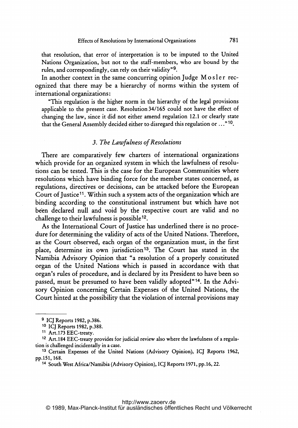that resolution, that error of interpretation is to be imputed to the United Nations Organization, but not to the staff-members, who are bound by the rules, and correspondingly, can rely on their validity"9.

In another context in the same concurring opinion Judge Mosler recognized that there may be <sup>a</sup> hierarchy of norms within the system of international organizations:

"This regulation is the higher norm in the hierarchy of the legal provisions applicable to the present case. Resolution 34/165 could not have the effect of changing the law, since it did not either amend regulation 12.1 or clearly state that the General Assembly decided either to disregard this regulation or ..." 10.

### 3. The Lawfulness of Resolutions

There are comparatively few charters of international organizations which provide for an organized system in which the lawfulness of resolutions can be tested. This is the case for the European Communities where resolutions which have binding force for the member states concerned, as regulations, directives or decisions, can be attacked before the European Court of Justice<sup>11</sup>. Within such a system acts of the organization which are binding according to the constitutional instrument but which have not been declared null and void by the respective court are valid and no challenge to their lawfulness is possible 12.

As the International Court of Justice has underlined there is no procedure for determining the validity of acts of the United Nations. Therefore, as the Court observed, each organ of the organization must, in the first place, determine its own jurisdiction<sup>13</sup>. The Court has stated in the Namibia Advisory Opinion that "a resolution of <sup>a</sup> properly constituted organ of the United Nations which is passed in accordance with that organ's rules of procedure, and is declared by its President to have been so passed, must be presumed to have been validly adopted"14. In the Advisory Opinion concerning Certain Expenses of the United Nations, the Court hinted at the possibility that the violation of internal provisions may

<sup>9</sup> ICJ Reports 1982, p.386.

<sup>&</sup>lt;sup>10</sup> ICJ Reports 1982, p.388.

<sup>&</sup>lt;sup>11</sup> Art.173 EEC-treaty.

<sup>12</sup> Art. <sup>184</sup> EEC-treaty provides for judicial review also where the lawfulness of <sup>a</sup> regulation is challenged incidentally in a case.

<sup>13</sup> Certain Expenses of the United Nations (Advisory Opinion), IQJ Reports 1962, pp.151, 168.

<sup>&</sup>lt;sup>14</sup> South West Africa/Namibia (Advisory Opinion), ICJ Reports 1971, pp.16, 22.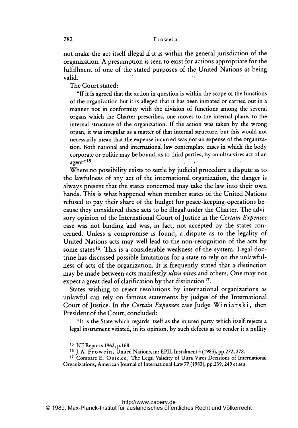not make the act itself illegal if it is within the general jurisdiction of the organization. A presumption is seen to exist for actions appropriate for the fulfillment of one of the stated purposes of the United Nations as being valid.

The Court stated:

"If it is agreed that the action in question is within the scope of the functions of the organization but it is alleged that it has been initiated or carried out in <sup>a</sup> manner not in conformity with the division of functions among the several organs which the Charter prescribes, one moves to the internal plane, to the internal structure of the organization. If the action was taken by the wrong organ, it was irregular as <sup>a</sup> matter of that internal structure, but this would not necessarily mean that the expense incurred was not an expense of the organization. Both national and international law contemplate cases in which the body corporate or politic may be bound, as to third parties, by an ultra vires act of an agent<sup>",15</sup>.

Where no possibility exists to settle by judicial procedure a dispute as to the lawfulness of any act of the international. organization, the danger is always present that the states concerned may take the law into their own hands. This is what happened when member states of the United Nations refused to pay their share of the budget for peace-keeping-operations because they considered these acts to be illegal under the Charter. The advisory opinion of the International Court of Justice in the Certain Expenses case was not binding and was, in fact, not accepted by the states concerned. Unless a compromise is found, a dispute as to the legality of United Nations acts may well lead to the non-recognition. of the acts by some states<sup>16</sup>. This is a considerable weakness of the system. Legal doctrine has discussed possible limitations for <sup>a</sup> state to rely on the unlawfulness of acts of the organization. It is frequently stated that a distinction may be made between acts manifestly *ultra vires* and others. One may not expect a great deal of clarification by that distinction<sup>17</sup>.

States wishing to reject resolutions by international organizations as unlawful can rely on famous statements by judges of the International Court of Justice. In the Certain Expenses case Judge Winiars ki, then President of the Court, concluded:

"It is the State which regards itself as the injured party which itself rejects <sup>a</sup> legal instrument vitiated, in its opinion, by such defects as to render it <sup>a</sup> nullity

http://www.zaoerv.de

<sup>15</sup> ICJ Reports 1962, p. 168.

<sup>16</sup> J. A. Frowein, United Nations, in: EPIL Instalment 5 (1983), pp.272, 278.

<sup>&</sup>lt;sup>17</sup> Compare E. Osieke, The Legal Validity of Ultra Vires Decisions of International Organizations, American journal of International Law <sup>77</sup> (1983), pp.239, <sup>249</sup> et seq.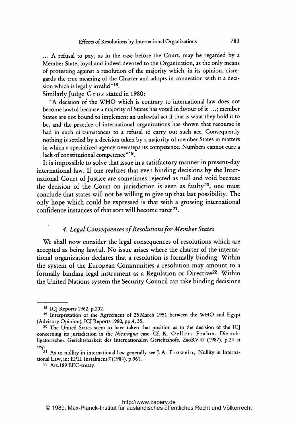A refusal to pay, as in the case before the Court, may be regarded by <sup>a</sup> Member State, loyal and indeed devoted to the Organization, as the only means. of protesting against <sup>a</sup> resolution of the majority which, in its opinion, disregards the true meaning of the Charter and adopts in connection with it <sup>a</sup> decision which is legally invalid"  $18$ .

Similarly Judge Gros stated in 1980:

"A decision of the WHO which is contrary to international law does not become lawful because a majority of States has voted in favour of it ...; member States are not bound to implement an unlawful act if that is what they hold it to be, and the practice of international organizations has shown that recourse is had in such circumstances to <sup>a</sup> refusal to carry out such act. Consequently nothing is settled by <sup>a</sup> decision taken by <sup>a</sup> majority of member States in matters in which <sup>a</sup> specialized agency oversteps its competence. Numbers cannot cure <sup>a</sup> lack of constitutional competence"<sup>19</sup>.

It is impossible to solve that issue in a satisfactory manner in present-day international law. If one realizes that even binding decisions by the International Court of justice are sometimes rejected as null and void because the decision of the Court on jurisdiction is seen as faulty<sup>20</sup>, one must conclude that states will not be willing to give up that last possibility. The only hope which could be expressed is that with <sup>a</sup> growing international confidence instances of that sort will become rarer<sup>21</sup>.

#### 4. Legal Consequences of Resolutions for Member States

We shall now consider the legal consequences of resolutions which are accepted as being lawful. No issue arises where the charter of the international organization declares that <sup>a</sup> resolution is formally binding. Within the system of the European Communities <sup>a</sup> resolution may amount to <sup>a</sup> formally binding legal instrument as a Regulation or Directive<sup>22</sup>. Within the United Nations system the Security Council can take binding decisions

<sup>18</sup> ICJ Reports 1962, p.232.

<sup>19</sup> Interpretation of the Agreement of <sup>25</sup> March <sup>1951</sup> between the WHO and Egypt (Advisory Opinion), ICJ Reports 1980, pp.4, 35.

<sup>20</sup> The United States seem to have taken that position as to the decision of the IQJ concerning its jurisdiction in the Nicaragua case. Cf. K. Oellers-Frahm, Die »obligatorische« Gerichtsbarkeit des Internationalen Gerichtshofs, ZaöRV 47 (1987), p.24 et seq.

 $21$  As to nullity in international law generally see J.A. Frowein, Nullity in International Law, in: EPIL Instalment 7 (1984), p.361.

<sup>22</sup> Art. 189 EEC-treaty.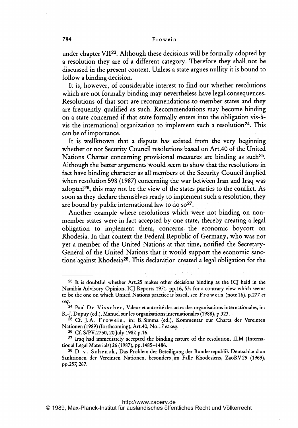under chapter VII<sup>23</sup>. Although these decisions will be formally adopted by a resolution they are of a different category. Therefore they shall not be discussed in the present context. Unless <sup>a</sup> state argues nullity it is bound to follow <sup>a</sup> binding decision.

It is, however, of considerable interest to find out whether resolutions which are not formally binding may nevertheless have legal consequences. Resolutions of that sort are recommendations to member states and they are frequently qualified as such. Recommendations may become binding on a state concerned if that state formally enters into the obligation vis-àvis the international organization to implement such a resolution<sup>24</sup>. This can be of importance.

It is wellknown that <sup>a</sup> dispute has existed from the very beginning whether or not Security Council resolutions based on Art.40 of the United Nations Charter concerning provisional measures are binding as such<sup>25</sup>. Although the better arguments would seem to show that the resolutions in fact have binding character as all members of the Security Council implied when resolution <sup>598</sup> (1987) concerning the war between Iran and Iraq was adopted<sup>26</sup>, this may not be the view of the states parties to the conflict. As soon as they declare themselves ready to implement such <sup>a</sup> resolution, they are bound by public international law to do  $\delta$ <sup>27</sup>.

Another example where resolutions which were not binding on nonmember states were in fact accepted by one state, thereby creating <sup>a</sup> legal obligation to implement them, concerns the economic boycott on Rhodesia. In that context the Federal Republic of Germany, who was not yet <sup>a</sup> member of the United Nations at that time, notified the Secretary-General of the United Nations that it would support the economic sanctions against Rhodesia<sup>28</sup>. This declaration created a legal obligation for the

<sup>23</sup> It is doubtful whether Art.25 makes other decisions binding as the ICJ held in the Namibia Advisory Opinion, ICJ Reports 1971, pp.16, 53; for a contrary view which seems to be the one on which United Nations practice is based, see Frowein (note 16), p.277 et seq.<br><sup>24</sup> Paul D e V i s s c h e r, Valeur et autorité des actes des organisations internationales, in:

R.-J. Dupuy (ed.), Manuel sur les organisations internationales (1988), p.323.

<sup>&</sup>lt;sup>25</sup> Cf. J.A. Frowein, in: B. Simma (ed.), Kommentar zur Charta der Vereinten Nationen (1989) (forthcoming), Art.40, No.17 et seq.

<sup>26</sup> Cf. S/PV.2750, 20 July 1987,p.16.

<sup>27</sup> Iraq had immediately accepted the binding nature of the resolution, ILM (International Legal Materials) 26 (1987), pp. 1485-1486.

<sup>&</sup>lt;sup>28</sup> D. v. Schenck, Das Problem der Beteiligung der Bundesrepublik Deutschland an Sanktionen der Vereinten Nationen, besonders. im Falle Rhodesiens, ZaöRV29 (1969), pp.257,267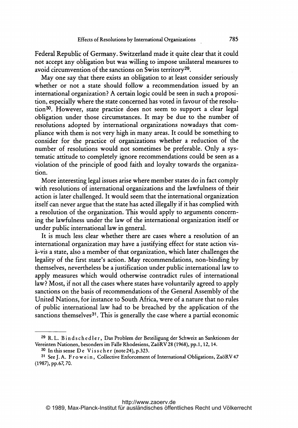Federal Republic of Germany. Switzerland made it quite clear that it could not accept any obligation but was willing to impose unilateral measures to avoid circumvention of the sanctions on Swiss territory<sup>29</sup>.

May one say that there exists an obligation to at least consider seriously whether or not <sup>a</sup> state should follow <sup>a</sup> recommendation issued by an international organization? A certain logic could be seen in such <sup>a</sup> proposition, especially where the state concerned has voted in favour of the resolution3O. However, state practice does not seem to support <sup>a</sup> clear legal obligation under those circumstances. It may be due to the number of resolutions adopted by international organizations nowadays that compliance with them is not very high in many areas. It could be something to consider for the practice of organizations whether <sup>a</sup> reduction of the number of resolutions would not sometimes be preferable. Only <sup>a</sup> systematic attitude to completely ignore recommendations could be seen as <sup>a</sup> violation of the principle of good faith and loyalty towards the organization.

More interesting legal issues arise where member states do in fact comply with resolutions of international organizations and the lawfulness of their action is later challenged. It would seem that the international organization itself can never argue that the state has acted illegally if it has complied with <sup>a</sup> resolution of the organization. This would apply to arguments concerning the lawfulness under the law of the international organization itself or under public international law in general.

It is much less clear whether there are cases where a resolution of an international organization may have <sup>a</sup> justifying effect for state action visà-vis a state, also a member of that organization, which later challenges the legality of the first state's action. May recommendations, non-binding by themselves, nevertheless be a justification under public international law to apply measures which would otherwise contradict rules of international law? Most, if not all the cases where states have voluntarily agreed to apply sanctions on the basis of recommendations of the General Assembly of the United Nations, for instance to South Africa, were of a nature that no rules of public international law had to be breached by the application of the sanctions themselves<sup>31</sup>. This is generally the case where a partial economic

<sup>&</sup>lt;sup>29</sup> R. L. Bindschedler, Das Problem der Beteiligung der Schweiz an Sanktionen der Vereinten Nationen, besonders im Falle Rhodesiens, ZaöRV28 (1968), pp.1, 12,14.

 $30$  In this sense De V is s cher (note 24), p.323.

<sup>&</sup>lt;sup>31</sup> See J. A. Frowein, Collective Enforcement of International Obligations, ZaöRV 47 (1987), pp.67, 70.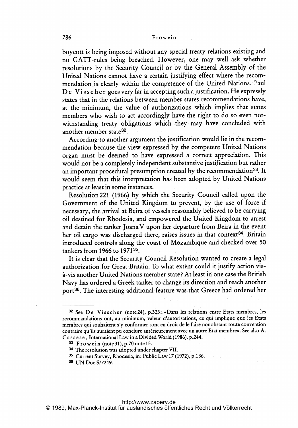boycott is being imposed without any special treaty relations existing and no GATT-rules being breached. However, one may well ask whether resolutions by the Security Council or by, the General Assembly of the United Nations cannot have a. certain.justifying effect where the recommendation is clearly within the competence of the United Nations. Paul De Visscher goes very far in accepting such a justification. He expressly states that in the relations between member states recommendations have, at the minimum, the value of authorizations which implies that states members who wish to act accordingly have the right to do so even notwithstanding treaty obligations which they may have concluded with another member state32.

According to another argument the justification would lie in the recommendation because the view expressed by the competent United Nations organ must be deemed to have expressed <sup>a</sup> correct appreciation. This would not be <sup>a</sup> completely independent substantive justification but rather an important procedural presumption created by the recommendation<sup>33</sup>. It would seem that this interpretation has been adopted by United Nations practice at least in some instances.

Resolution221 (1966) by which the Security Council called upon the Government of the United. Kingdom to prevent, by the use of force if necessary, the arrival at Beira of vessels reasonably believed to be carrying oil destined for Rhodesia, and empowered the United Kingdom to arrest and detain the tanker Joana V upon her departure from Beira in the event her oil cargo was discharged there, raises issues in that context<sup>34</sup>. Britain introduced controls along the coast of Mozambique and checked over 50 tankers from 1966 to  $1971^{35}$ .

It is clear that the Security Council Resolution wanted to create <sup>a</sup> legal authorization for Great Britain.. To what extent could it justify action visa-vis another United Nations member state? At least in one case the British Navy has ordered <sup>a</sup> Greek tanker to change its direction and reach another port36. The interesting additional feature was that Greece had ordered her

<sup>32</sup> See De Visscher (note 24), p.323: «Dans les relations entre Etats membres, les recommandations ont, au minimum, valeur d'autorisations, ce qui implique que les Etats membres qui souhaitent s'y conformer sont en droit de le faire nonobstant toute convention contraire qu'ils auraient pu conclure antérieurement avec un autre Etat membre». See also A. Cassese, International Law in a Divided World (1986), p.244.

<sup>33</sup> Frowein (note 31), p.70 note 15.

<sup>34</sup> The resolution was adopted under chapter VII.

<sup>35</sup> Current Survey, Rhodesia, in: Public Law <sup>17</sup> (1972), p.186.

<sup>36</sup> UN Doc.S/7249.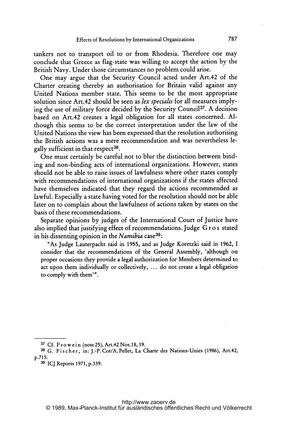tankers not to transport oil to or from Rhodesia. Therefore one may conclude that Greece as flag-state was willing to accept the action by the British Navy. Under those circumstances no problem could arise.

One may argue that the Security Council acted under Art.42 of the Charter creating thereby an authorisation for Britain valid against any United Nations member state. This seems to be the most appropriate solution since Art.42 should be seen as lex specialis for all measures implying the use of military force decided by the Security Council<sup>37</sup>. A decision based on Art.42 creates <sup>a</sup> legal obligation for all states concerned. Although this seems to be the correct interpretation under the law of the United Nations the view has been expressed that the resolution authorising the British actions was <sup>a</sup> mere recommendation and was nevertheless legally sufficient in that respect<sup>38</sup>.

One must certainly be careful not to blur the distinction between binding and non-binding acts of international organizations. However, states should not be able to raise issues of lawfulness where other states comply with recommendations of international organizations if the states affected have themselves indicated that they regard the actions recommended as lawful. Especially <sup>a</sup> state having voted for the resolution should not be able later on to complain about the lawfulness of actions taken by states on the basis of these recommendations.

Separate opinions by judges of the International Court of justice have also implied that justifying effect of recommendations. judge G <sup>r</sup> <sup>o</sup> <sup>s</sup> stated in his dissenting opinion in the Namibia case  $39$ :

"As Judge Lauterpacht said in 1955, and as judge Koretzki said in 1962, <sup>1</sup> consider that the recommendations of the General Assembly, 'although on proper occasions they provide <sup>a</sup> legal authorization for Members determined to act upon them individually or collectively,  $\dots$  do not create a legal obligation to comply with them".

<sup>&</sup>lt;sup>37</sup> Cf. Frowein (note 25), Art. 42 Nos. 18, 19.

<sup>38</sup> G. Fischer, in: J.-P. Cot/A. Pellet, La Charte des Nations-Unies (1986), Art.42, p.715.

<sup>39</sup> IQJ Reports 1971, p.339.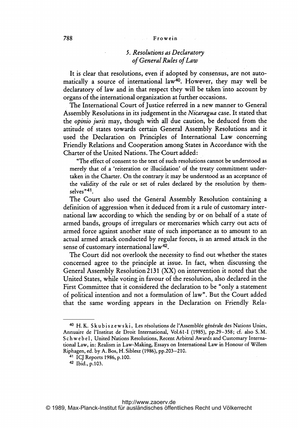#### 788 Frowein

# 5. Resolutions as Declaratory of General Rules ofLaw

It is clear that resolutions, even if adopted by consensus, are not automatically a source of international law<sup>40</sup>. However, they may well be declaratory of law and in that respect they will be taken into account by organs of the international organization at further occasions.

The International Court of justice referred in <sup>a</sup> new manner to General Assembly Resolutions in its judgement in the Nicaragua case. It stated that the *opinio juris* may, though with all due caution, be deduced from the attitude of states towards certain General Assembly Resolutions and it used the Declaration on Principles of international Law concerning Friendly Relations and Cooperation among States in Accordance with the Charter of the United Nations. The Court added:

"The effect of consent to the text of such resolutions cannot be understood as merely that of <sup>a</sup> 'reiteration or illucidation' of the treaty commitment undertaken in the Charter. On the contrary it may be understood as an acceptance of the validity of the rule or set of rules declared by the resolution by them  $s$ elves<sup> $n41$ </sup>.

The Court also used the General Assembly Resolution containing a definition of aggression when it deduced from it <sup>a</sup> rule of customary international law according. to which the sending by or on behalf of <sup>a</sup> state of armed bands, groups of irregulars or mercenaries which carry out acts of armed force against another state of such importance as to amount to an actual armed attack conducted by regular forces, is an armed attack in the sense of customary international law42.

The Court did not overlook the necessity to find out whether the states concerned agree to the principle at issue. In fact, when discussing the General Assembly Resolution 2131 (XX) on intervention it noted that the United States, while voting in favour of the resolution, also declared in the First Committee that it considered the declaration to be "only a statement of political intention and not <sup>a</sup> formulation of law". But the Court added that the same wording appears in the Declaration on Friendly Rela-

<sup>&</sup>lt;sup>40</sup> H. K. Skubiszewski, Les résolutions de l'Assemblée générale des Nations Unies, Annuaire de l'Institut de Droit International, V61.61-I (1985), pp.29-358; cf. also S.M. <sup>S</sup> <sup>c</sup> <sup>h</sup> w <sup>e</sup> <sup>b</sup> <sup>e</sup> 1, United Nations Resolutions, Recent Arbitral Awards and Customary International Law, in: Realism in Law-Making, Essays on International Law in Honour of Willem Riphagen, ed. by A. Bos, H. Siblesz (1986), pp.203-210.

<sup>41</sup> ICJ Reports 1986,p.100.

<sup>42</sup> Ibid., p.103.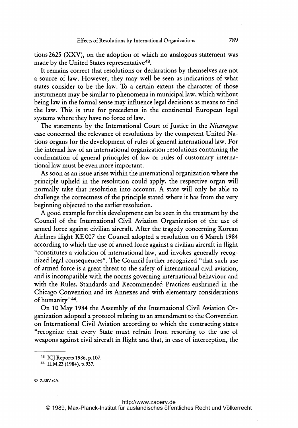tions 2625 (XXV), on the adoption of which no analogous statement was made by the United States representative<sup>43</sup>.

It remains correct that resolutions or declarations by themselves are not <sup>a</sup> source of law. However, they may well be seen as indications of what states consider to be the law. To a certain extent the character of those instruments may be similar to phenomena in municipal law, which without being law in the formal sense may influence legal decisions as means to find the law. This is true for precedents in the continental European legal systems where they have no force of law.

The statements by the International Court of Justice in the Nicaragua case concerned the relevance of resolutions by the competent United Nations organs for the development of rules of general international law. For the internal law of an international organization resolutions containing the confirmation of general principles of law or rules of customary international law must be even more important.

As soon as an issue arises within the international organization where the principle upheld in the resolution could apply, the respective organ will normally take that resolution into account. A state will only be able to challenge the correctness of the principle stated where it has from the very beginning objected to the earlier resolution.

A good example for this development can be seen in the treatment by the Council of the International Civil Aviation Organization of the use of armed force against civilian aircraft. After the tragedy concerning Korean Airlines flight KE <sup>007</sup> the Council adopted <sup>a</sup> resolution on <sup>6</sup> March <sup>1984</sup> according to which the use of armed force against <sup>a</sup> civilian aircraft in flight "constitutes <sup>a</sup> violation of international law, and invokes generally recognized legal consequences". The Council further recognized "that such use of armed force is <sup>a</sup> great threat to the safety of international civil aviation, and is incompatible with the norms governing international behaviour and with the Rules, Standards and Recommended Practices enshrined in the Chicago Convention and its Annexes and with elementary considerations of humanity"44.

On <sup>10</sup> May <sup>1984</sup> the Assembly of the International Civil Aviation Organization adopted <sup>a</sup> protocol relating to an amendment to the Convention on International Civil Aviation according to which the contracting states "recognize that every State must refrain from resorting to the use of weapons against civil aircraft in flight and that, in case of interception, the

<sup>43</sup> ICJ Reports 1986, p.107.

<sup>44</sup> ILM23(1984),p.937

<sup>52</sup> Za6RV 49/4